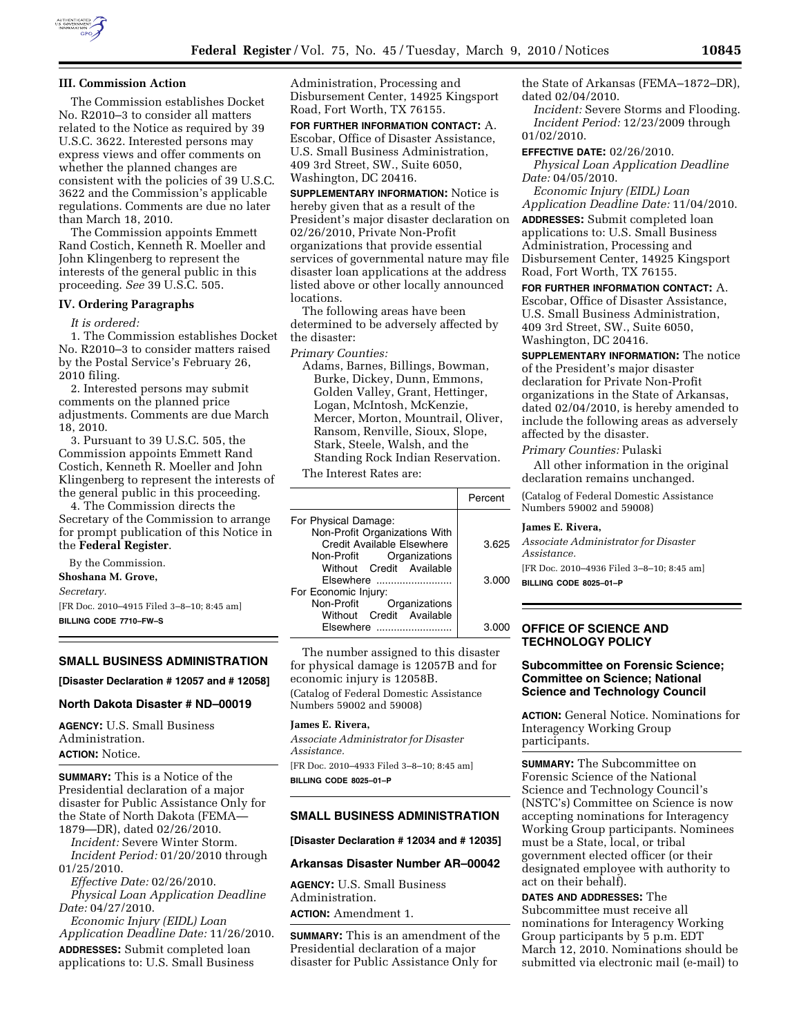

### **III. Commission Action**

The Commission establishes Docket No. R2010–3 to consider all matters related to the Notice as required by 39 U.S.C. 3622. Interested persons may express views and offer comments on whether the planned changes are consistent with the policies of 39 U.S.C. 3622 and the Commission's applicable regulations. Comments are due no later than March 18, 2010.

The Commission appoints Emmett Rand Costich, Kenneth R. Moeller and John Klingenberg to represent the interests of the general public in this proceeding. *See* 39 U.S.C. 505.

#### **IV. Ordering Paragraphs**

*It is ordered:* 

1. The Commission establishes Docket No. R2010–3 to consider matters raised by the Postal Service's February 26, 2010 filing.

2. Interested persons may submit comments on the planned price adjustments. Comments are due March 18, 2010.

3. Pursuant to 39 U.S.C. 505, the Commission appoints Emmett Rand Costich, Kenneth R. Moeller and John Klingenberg to represent the interests of the general public in this proceeding.

4. The Commission directs the Secretary of the Commission to arrange for prompt publication of this Notice in the **Federal Register**.

By the Commission.

# **Shoshana M. Grove,**

*Secretary.* 

[FR Doc. 2010–4915 Filed 3–8–10; 8:45 am] **BILLING CODE 7710–FW–S** 

#### **SMALL BUSINESS ADMINISTRATION**

**[Disaster Declaration # 12057 and # 12058]** 

### **North Dakota Disaster # ND–00019**

**AGENCY:** U.S. Small Business Administration. **ACTION:** Notice.

**SUMMARY:** This is a Notice of the Presidential declaration of a major disaster for Public Assistance Only for the State of North Dakota (FEMA— 1879—DR), dated 02/26/2010.

*Incident:* Severe Winter Storm. *Incident Period:* 01/20/2010 through 01/25/2010.

*Effective Date:* 02/26/2010. *Physical Loan Application Deadline Date:* 04/27/2010.

*Economic Injury (EIDL) Loan Application Deadline Date:* 11/26/2010. **ADDRESSES:** Submit completed loan

applications to: U.S. Small Business

Administration, Processing and Disbursement Center, 14925 Kingsport Road, Fort Worth, TX 76155.

**FOR FURTHER INFORMATION CONTACT:** A. Escobar, Office of Disaster Assistance, U.S. Small Business Administration, 409 3rd Street, SW., Suite 6050, Washington, DC 20416.

**SUPPLEMENTARY INFORMATION:** Notice is hereby given that as a result of the President's major disaster declaration on 02/26/2010, Private Non-Profit organizations that provide essential services of governmental nature may file disaster loan applications at the address listed above or other locally announced locations.

The following areas have been determined to be adversely affected by the disaster:

*Primary Counties:* 

Adams, Barnes, Billings, Bowman, Burke, Dickey, Dunn, Emmons, Golden Valley, Grant, Hettinger, Logan, McIntosh, McKenzie, Mercer, Morton, Mountrail, Oliver, Ransom, Renville, Sioux, Slope, Stark, Steele, Walsh, and the Standing Rock Indian Reservation.

The Interest Rates are:

|                               | Percent |
|-------------------------------|---------|
| For Physical Damage:          |         |
| Non-Profit Organizations With |         |
| Credit Available Elsewhere    | 3.625   |
| Organizations<br>Non-Profit   |         |
| Without Credit Available      |         |
| Elsewhere                     | 3.000   |
| For Economic Injury:          |         |
| Non-Profit Organizations      |         |
| Without Credit Available      |         |
| <b>Fisewhere</b>              | 3 N     |

The number assigned to this disaster for physical damage is 12057B and for economic injury is 12058B. (Catalog of Federal Domestic Assistance Numbers 59002 and 59008)

## **James E. Rivera,**

*Associate Administrator for Disaster Assistance.*  [FR Doc. 2010–4933 Filed 3–8–10; 8:45 am]

**BILLING CODE 8025–01–P** 

### **SMALL BUSINESS ADMINISTRATION**

**[Disaster Declaration # 12034 and # 12035]** 

# **Arkansas Disaster Number AR–00042**

**AGENCY:** U.S. Small Business Administration. **ACTION:** Amendment 1.

**SUMMARY:** This is an amendment of the Presidential declaration of a major disaster for Public Assistance Only for

the State of Arkansas (FEMA–1872–DR), dated 02/04/2010.

*Incident:* Severe Storms and Flooding. *Incident Period:* 12/23/2009 through 01/02/2010.

**EFFECTIVE DATE:** 02/26/2010. *Physical Loan Application Deadline Date:* 04/05/2010.

*Economic Injury (EIDL) Loan Application Deadline Date:* 11/04/2010.

**ADDRESSES:** Submit completed loan applications to: U.S. Small Business Administration, Processing and Disbursement Center, 14925 Kingsport Road, Fort Worth, TX 76155.

**FOR FURTHER INFORMATION CONTACT:** A.

Escobar, Office of Disaster Assistance, U.S. Small Business Administration, 409 3rd Street, SW., Suite 6050, Washington, DC 20416.

**SUPPLEMENTARY INFORMATION:** The notice of the President's major disaster declaration for Private Non-Profit organizations in the State of Arkansas, dated 02/04/2010, is hereby amended to include the following areas as adversely affected by the disaster.

*Primary Counties:* Pulaski

All other information in the original declaration remains unchanged.

(Catalog of Federal Domestic Assistance Numbers 59002 and 59008)

#### **James E. Rivera,**

*Associate Administrator for Disaster Assistance.* 

[FR Doc. 2010–4936 Filed 3–8–10; 8:45 am] **BILLING CODE 8025–01–P** 

### **OFFICE OF SCIENCE AND TECHNOLOGY POLICY**

### **Subcommittee on Forensic Science; Committee on Science; National Science and Technology Council**

**ACTION:** General Notice. Nominations for Interagency Working Group participants.

**SUMMARY:** The Subcommittee on Forensic Science of the National Science and Technology Council's (NSTC's) Committee on Science is now accepting nominations for Interagency Working Group participants. Nominees must be a State, local, or tribal government elected officer (or their designated employee with authority to act on their behalf).

**DATES AND ADDRESSES:** The Subcommittee must receive all nominations for Interagency Working Group participants by 5 p.m. EDT March 12, 2010. Nominations should be submitted via electronic mail (e-mail) to